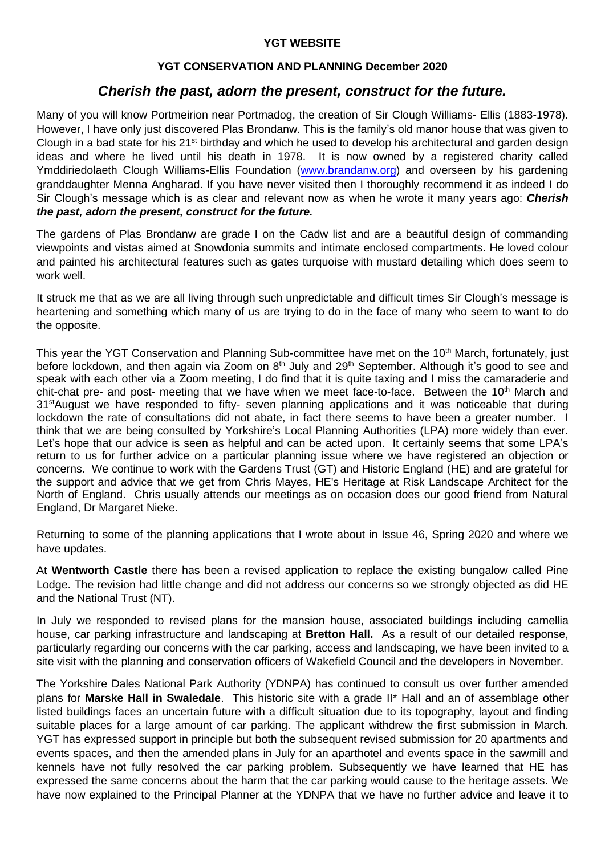## **YGT WEBSITE**

## **YGT CONSERVATION AND PLANNING December 2020**

# *Cherish the past, adorn the present, construct for the future.*

Many of you will know Portmeirion near Portmadog, the creation of Sir Clough Williams- Ellis (1883-1978). However, I have only just discovered Plas Brondanw. This is the family's old manor house that was given to Clough in a bad state for his 21<sup>st</sup> birthday and which he used to develop his architectural and garden design ideas and where he lived until his death in 1978. It is now owned by a registered charity called Ymddiriedolaeth Clough Williams-Ellis Foundation [\(www.brandanw.org\)](http://www.brandanw.org/) and overseen by his gardening granddaughter Menna Angharad. If you have never visited then I thoroughly recommend it as indeed I do Sir Clough's message which is as clear and relevant now as when he wrote it many years ago: *Cherish the past, adorn the present, construct for the future.* 

The gardens of Plas Brondanw are grade I on the Cadw list and are a beautiful design of commanding viewpoints and vistas aimed at Snowdonia summits and intimate enclosed compartments. He loved colour and painted his architectural features such as gates turquoise with mustard detailing which does seem to work well.

It struck me that as we are all living through such unpredictable and difficult times Sir Clough's message is heartening and something which many of us are trying to do in the face of many who seem to want to do the opposite.

This year the YGT Conservation and Planning Sub-committee have met on the 10<sup>th</sup> March, fortunately, just before lockdown, and then again via Zoom on 8<sup>th</sup> July and 29<sup>th</sup> September. Although it's good to see and speak with each other via a Zoom meeting, I do find that it is quite taxing and I miss the camaraderie and chit-chat pre- and post- meeting that we have when we meet face-to-face. Between the 10<sup>th</sup> March and 31<sup>st</sup>August we have responded to fifty- seven planning applications and it was noticeable that during lockdown the rate of consultations did not abate, in fact there seems to have been a greater number. I think that we are being consulted by Yorkshire's Local Planning Authorities (LPA) more widely than ever. Let's hope that our advice is seen as helpful and can be acted upon. It certainly seems that some LPA's return to us for further advice on a particular planning issue where we have registered an objection or concerns. We continue to work with the Gardens Trust (GT) and Historic England (HE) and are grateful for the support and advice that we get from Chris Mayes, HE's Heritage at Risk Landscape Architect for the North of England. Chris usually attends our meetings as on occasion does our good friend from Natural England, Dr Margaret Nieke.

Returning to some of the planning applications that I wrote about in Issue 46, Spring 2020 and where we have updates.

At **Wentworth Castle** there has been a revised application to replace the existing bungalow called Pine Lodge. The revision had little change and did not address our concerns so we strongly objected as did HE and the National Trust (NT).

In July we responded to revised plans for the mansion house, associated buildings including camellia house, car parking infrastructure and landscaping at **Bretton Hall.** As a result of our detailed response, particularly regarding our concerns with the car parking, access and landscaping, we have been invited to a site visit with the planning and conservation officers of Wakefield Council and the developers in November.

The Yorkshire Dales National Park Authority (YDNPA) has continued to consult us over further amended plans for **Marske Hall in Swaledale**. This historic site with a grade II\* Hall and an of assemblage other listed buildings faces an uncertain future with a difficult situation due to its topography, layout and finding suitable places for a large amount of car parking. The applicant withdrew the first submission in March. YGT has expressed support in principle but both the subsequent revised submission for 20 apartments and events spaces, and then the amended plans in July for an aparthotel and events space in the sawmill and kennels have not fully resolved the car parking problem. Subsequently we have learned that HE has expressed the same concerns about the harm that the car parking would cause to the heritage assets. We have now explained to the Principal Planner at the YDNPA that we have no further advice and leave it to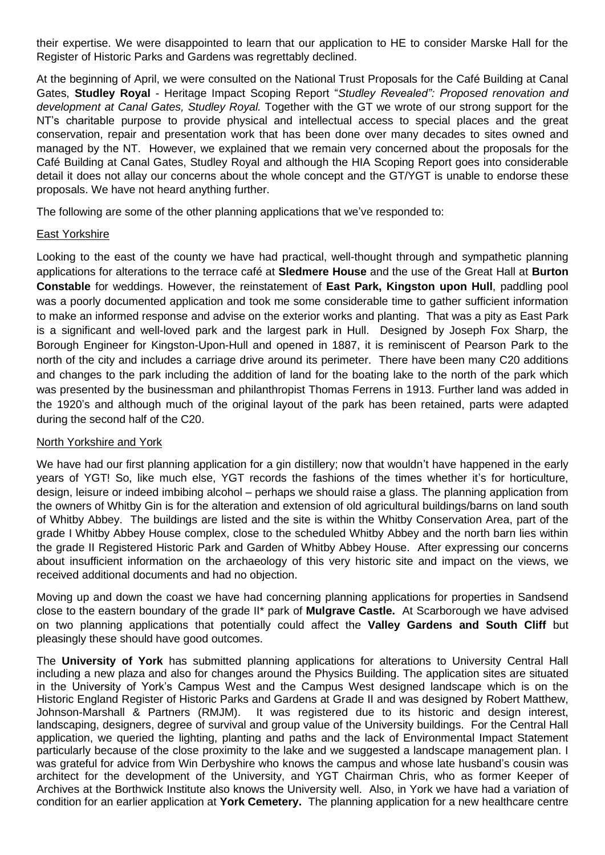their expertise. We were disappointed to learn that our application to HE to consider Marske Hall for the Register of Historic Parks and Gardens was regrettably declined.

At the beginning of April, we were consulted on the National Trust Proposals for the Café Building at Canal Gates, **Studley Royal** - Heritage Impact Scoping Report "*Studley Revealed": Proposed renovation and development at Canal Gates, Studley Royal.* Together with the GT we wrote of our strong support for the NT's charitable purpose to provide physical and intellectual access to special places and the great conservation, repair and presentation work that has been done over many decades to sites owned and managed by the NT. However, we explained that we remain very concerned about the proposals for the Café Building at Canal Gates, Studley Royal and although the HIA Scoping Report goes into considerable detail it does not allay our concerns about the whole concept and the GT/YGT is unable to endorse these proposals. We have not heard anything further.

The following are some of the other planning applications that we've responded to:

#### East Yorkshire

Looking to the east of the county we have had practical, well-thought through and sympathetic planning applications for alterations to the terrace café at **Sledmere House** and the use of the Great Hall at **Burton Constable** for weddings. However, the reinstatement of **East Park, Kingston upon Hull**, paddling pool was a poorly documented application and took me some considerable time to gather sufficient information to make an informed response and advise on the exterior works and planting. That was a pity as East Park is a significant and well-loved park and the largest park in Hull. Designed by Joseph Fox Sharp, the Borough Engineer for Kingston-Upon-Hull and opened in 1887, it is reminiscent of Pearson Park to the north of the city and includes a carriage drive around its perimeter. There have been many C20 additions and changes to the park including the addition of land for the boating lake to the north of the park which was presented by the businessman and philanthropist Thomas Ferrens in 1913. Further land was added in the 1920's and although much of the original layout of the park has been retained, parts were adapted during the second half of the C20.

#### North Yorkshire and York

We have had our first planning application for a gin distillery; now that wouldn't have happened in the early years of YGT! So, like much else, YGT records the fashions of the times whether it's for horticulture, design, leisure or indeed imbibing alcohol – perhaps we should raise a glass. The planning application from the owners of Whitby Gin is for the alteration and extension of old agricultural buildings/barns on land south of Whitby Abbey. The buildings are listed and the site is within the Whitby Conservation Area, part of the grade I Whitby Abbey House complex, close to the scheduled Whitby Abbey and the north barn lies within the grade II Registered Historic Park and Garden of Whitby Abbey House. After expressing our concerns about insufficient information on the archaeology of this very historic site and impact on the views, we received additional documents and had no objection.

Moving up and down the coast we have had concerning planning applications for properties in Sandsend close to the eastern boundary of the grade II\* park of **Mulgrave Castle.** At Scarborough we have advised on two planning applications that potentially could affect the **Valley Gardens and South Cliff** but pleasingly these should have good outcomes.

The **University of York** has submitted planning applications for alterations to University Central Hall including a new plaza and also for changes around the Physics Building. The application sites are situated in the University of York's Campus West and the Campus West designed landscape which is on the Historic England Register of Historic Parks and Gardens at Grade II and was designed by Robert Matthew, Johnson-Marshall & Partners (RMJM). It was registered due to its historic and design interest, landscaping, designers, degree of survival and group value of the University buildings. For the Central Hall application, we queried the lighting, planting and paths and the lack of Environmental Impact Statement particularly because of the close proximity to the lake and we suggested a landscape management plan. I was grateful for advice from Win Derbyshire who knows the campus and whose late husband's cousin was architect for the development of the University, and YGT Chairman Chris, who as former Keeper of Archives at the Borthwick Institute also knows the University well. Also, in York we have had a variation of condition for an earlier application at **York Cemetery.** The planning application for a new healthcare centre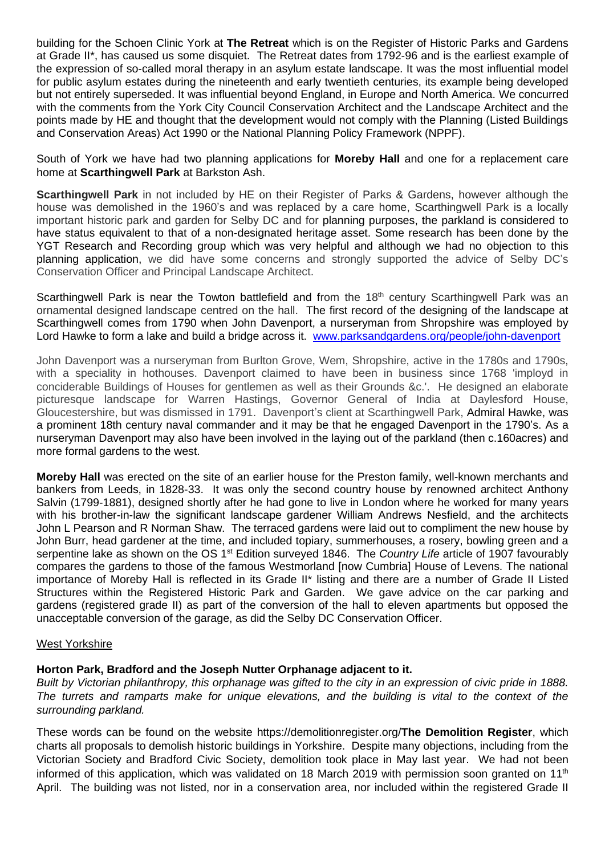building for the Schoen Clinic York at **The Retreat** which is on the Register of Historic Parks and Gardens at Grade II\*, has caused us some disquiet. The Retreat dates from 1792-96 and is the earliest example of the expression of so-called moral therapy in an asylum estate landscape. It was the most influential model for public asylum estates during the nineteenth and early twentieth centuries, its example being developed but not entirely superseded. It was influential beyond England, in Europe and North America. We concurred with the comments from the York City Council Conservation Architect and the Landscape Architect and the points made by HE and thought that the development would not comply with the Planning (Listed Buildings and Conservation Areas) Act 1990 or the National Planning Policy Framework (NPPF).

South of York we have had two planning applications for **Moreby Hall** and one for a replacement care home at **Scarthingwell Park** at Barkston Ash.

**Scarthingwell Park** in not included by HE on their Register of Parks & Gardens, however although the house was demolished in the 1960's and was replaced by a care home, Scarthingwell Park is a locally important historic park and garden for Selby DC and for planning purposes, the parkland is considered to have status equivalent to that of a non-designated heritage asset. Some research has been done by the YGT Research and Recording group which was very helpful and although we had no objection to this planning application, we did have some concerns and strongly supported the advice of Selby DC's Conservation Officer and Principal Landscape Architect.

Scarthingwell Park is near the Towton battlefield and from the 18<sup>th</sup> century Scarthingwell Park was an ornamental designed landscape centred on the hall. The first record of the designing of the landscape at Scarthingwell comes from 1790 when John Davenport, a nurseryman from Shropshire was employed by Lord Hawke to form a lake and build a bridge across it. [www.parksandgardens.org/people/john-davenport](https://www.parksandgardens.org/people/john-davenport) 

John Davenport was a nurseryman from Burlton Grove, Wem, Shropshire, active in the 1780s and 1790s, with a speciality in hothouses. Davenport claimed to have been in business since 1768 'imployd in conciderable Buildings of Houses for gentlemen as well as their Grounds &c.'. He designed an elaborate picturesque landscape for Warren Hastings, Governor General of India at Daylesford House, Gloucestershire, but was dismissed in 1791. Davenport's client at Scarthingwell Park, Admiral Hawke, was a prominent 18th century naval commander and it may be that he engaged Davenport in the 1790's. As a nurseryman Davenport may also have been involved in the laying out of the parkland (then c.160acres) and more formal gardens to the west.

**Moreby Hall** was erected on the site of an earlier house for the Preston family, well-known merchants and bankers from Leeds, in 1828-33. It was only the second country house by renowned architect Anthony Salvin (1799-1881), designed shortly after he had gone to live in London where he worked for many years with his brother-in-law the significant landscape gardener William Andrews Nesfield, and the architects John L Pearson and R Norman Shaw. The terraced gardens were laid out to compliment the new house by John Burr, head gardener at the time, and included topiary, summerhouses, a rosery, bowling green and a serpentine lake as shown on the OS 1<sup>st</sup> Edition surveyed 1846. The *Country Life* article of 1907 favourably compares the gardens to those of the famous Westmorland [now Cumbria] House of Levens. The national importance of Moreby Hall is reflected in its Grade II\* listing and there are a number of Grade II Listed Structures within the Registered Historic Park and Garden. We gave advice on the car parking and gardens (registered grade II) as part of the conversion of the hall to eleven apartments but opposed the unacceptable conversion of the garage, as did the Selby DC Conservation Officer.

#### West Yorkshire

#### **Horton Park, Bradford and the Joseph Nutter Orphanage adjacent to it.**

*Built by Victorian philanthropy, this orphanage was gifted to the city in an expression of civic pride in 1888. The turrets and ramparts make for unique elevations, and the building is vital to the context of the surrounding parkland.*

These words can be found on the website https://demolitionregister.org/**The Demolition Register**, which charts all proposals to demolish historic buildings in Yorkshire. Despite many objections, including from the Victorian Society and Bradford Civic Society, demolition took place in May last year. We had not been informed of this application, which was validated on 18 March 2019 with permission soon granted on 11<sup>th</sup> April. The building was not listed, nor in a conservation area, nor included within the registered Grade II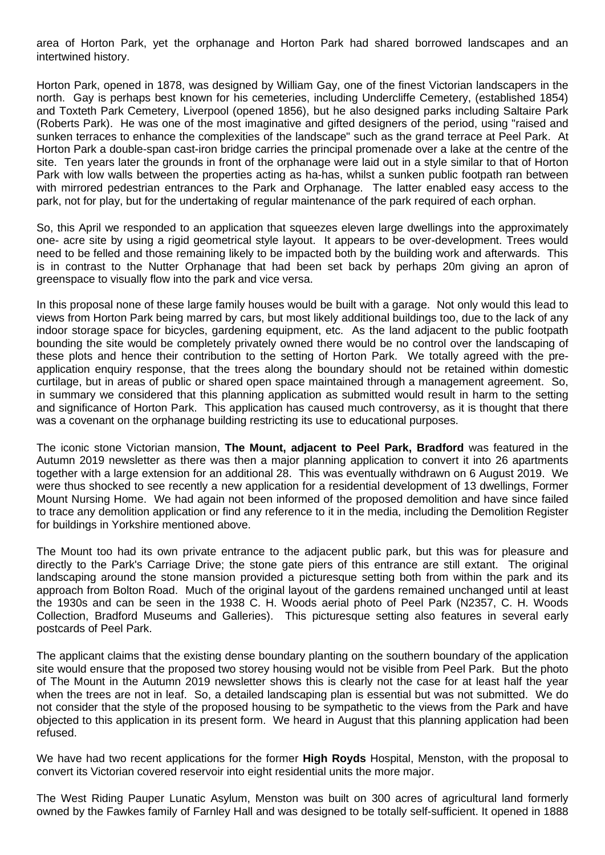area of Horton Park, yet the orphanage and Horton Park had shared borrowed landscapes and an intertwined history.

Horton Park, opened in 1878, was designed by William Gay, one of the finest Victorian landscapers in the north. Gay is perhaps best known for his cemeteries, including Undercliffe Cemetery, (established 1854) and Toxteth Park Cemetery, Liverpool (opened 1856), but he also designed parks including Saltaire Park (Roberts Park). He was one of the most imaginative and gifted designers of the period, using "raised and sunken terraces to enhance the complexities of the landscape" such as the grand terrace at Peel Park. At Horton Park a double-span cast-iron bridge carries the principal promenade over a lake at the centre of the site. Ten years later the grounds in front of the orphanage were laid out in a style similar to that of Horton Park with low walls between the properties acting as ha-has, whilst a sunken public footpath ran between with mirrored pedestrian entrances to the Park and Orphanage. The latter enabled easy access to the park, not for play, but for the undertaking of regular maintenance of the park required of each orphan.

So, this April we responded to an application that squeezes eleven large dwellings into the approximately one- acre site by using a rigid geometrical style layout. It appears to be over-development. Trees would need to be felled and those remaining likely to be impacted both by the building work and afterwards. This is in contrast to the Nutter Orphanage that had been set back by perhaps 20m giving an apron of greenspace to visually flow into the park and vice versa.

In this proposal none of these large family houses would be built with a garage. Not only would this lead to views from Horton Park being marred by cars, but most likely additional buildings too, due to the lack of any indoor storage space for bicycles, gardening equipment, etc. As the land adjacent to the public footpath bounding the site would be completely privately owned there would be no control over the landscaping of these plots and hence their contribution to the setting of Horton Park. We totally agreed with the preapplication enquiry response, that the trees along the boundary should not be retained within domestic curtilage, but in areas of public or shared open space maintained through a management agreement. So, in summary we considered that this planning application as submitted would result in harm to the setting and significance of Horton Park. This application has caused much controversy, as it is thought that there was a covenant on the orphanage building restricting its use to educational purposes.

The iconic stone Victorian mansion, **The Mount, adjacent to Peel Park, Bradford** was featured in the Autumn 2019 newsletter as there was then a major planning application to convert it into 26 apartments together with a large extension for an additional 28. This was eventually withdrawn on 6 August 2019. We were thus shocked to see recently a new application for a residential development of 13 dwellings, Former Mount Nursing Home. We had again not been informed of the proposed demolition and have since failed to trace any demolition application or find any reference to it in the media, including the Demolition Register for buildings in Yorkshire mentioned above.

The Mount too had its own private entrance to the adjacent public park, but this was for pleasure and directly to the Park's Carriage Drive; the stone gate piers of this entrance are still extant. The original landscaping around the stone mansion provided a picturesque setting both from within the park and its approach from Bolton Road. Much of the original layout of the gardens remained unchanged until at least the 1930s and can be seen in the 1938 C. H. Woods aerial photo of Peel Park (N2357, C. H. Woods Collection, Bradford Museums and Galleries). This picturesque setting also features in several early postcards of Peel Park.

The applicant claims that the existing dense boundary planting on the southern boundary of the application site would ensure that the proposed two storey housing would not be visible from Peel Park. But the photo of The Mount in the Autumn 2019 newsletter shows this is clearly not the case for at least half the year when the trees are not in leaf. So, a detailed landscaping plan is essential but was not submitted. We do not consider that the style of the proposed housing to be sympathetic to the views from the Park and have objected to this application in its present form. We heard in August that this planning application had been refused.

We have had two recent applications for the former **High Royds** Hospital, Menston, with the proposal to convert its Victorian covered reservoir into eight residential units the more major.

The West Riding Pauper Lunatic Asylum, Menston was built on 300 acres of agricultural land formerly owned by the Fawkes family of Farnley Hall and was designed to be totally self-sufficient. It opened in 1888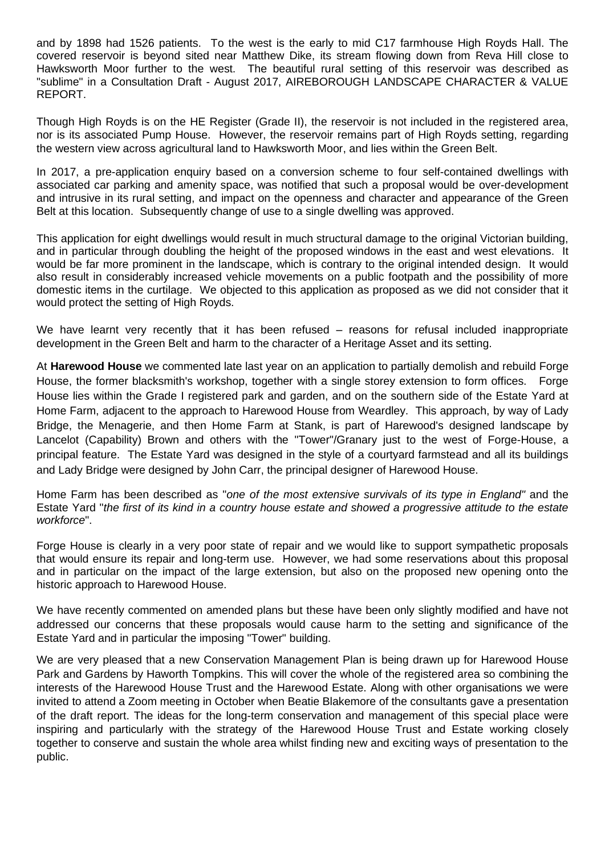and by 1898 had 1526 patients. To the west is the early to mid C17 farmhouse High Royds Hall. The covered reservoir is beyond sited near Matthew Dike, its stream flowing down from Reva Hill close to Hawksworth Moor further to the west. The beautiful rural setting of this reservoir was described as "sublime" in a Consultation Draft - August 2017, AIREBOROUGH LANDSCAPE CHARACTER & VALUE REPORT.

Though High Royds is on the HE Register (Grade II), the reservoir is not included in the registered area, nor is its associated Pump House. However, the reservoir remains part of High Royds setting, regarding the western view across agricultural land to Hawksworth Moor, and lies within the Green Belt.

In 2017, a pre-application enquiry based on a conversion scheme to four self-contained dwellings with associated car parking and amenity space, was notified that such a proposal would be over-development and intrusive in its rural setting, and impact on the openness and character and appearance of the Green Belt at this location. Subsequently change of use to a single dwelling was approved.

This application for eight dwellings would result in much structural damage to the original Victorian building, and in particular through doubling the height of the proposed windows in the east and west elevations. It would be far more prominent in the landscape, which is contrary to the original intended design. It would also result in considerably increased vehicle movements on a public footpath and the possibility of more domestic items in the curtilage. We objected to this application as proposed as we did not consider that it would protect the setting of High Royds.

We have learnt very recently that it has been refused – reasons for refusal included inappropriate development in the Green Belt and harm to the character of a Heritage Asset and its setting.

At **Harewood House** we commented late last year on an application to partially demolish and rebuild Forge House, the former blacksmith's workshop, together with a single storey extension to form offices. Forge House lies within the Grade I registered park and garden, and on the southern side of the Estate Yard at Home Farm, adjacent to the approach to Harewood House from Weardley. This approach, by way of Lady Bridge, the Menagerie, and then Home Farm at Stank, is part of Harewood's designed landscape by Lancelot (Capability) Brown and others with the "Tower"/Granary just to the west of Forge-House, a principal feature. The Estate Yard was designed in the style of a courtyard farmstead and all its buildings and Lady Bridge were designed by John Carr, the principal designer of Harewood House.

Home Farm has been described as "*one of the most extensive survivals of its type in England"* and the Estate Yard "*the first of its kind in a country house estate and showed a progressive attitude to the estate workforce*".

Forge House is clearly in a very poor state of repair and we would like to support sympathetic proposals that would ensure its repair and long-term use. However, we had some reservations about this proposal and in particular on the impact of the large extension, but also on the proposed new opening onto the historic approach to Harewood House.

We have recently commented on amended plans but these have been only slightly modified and have not addressed our concerns that these proposals would cause harm to the setting and significance of the Estate Yard and in particular the imposing "Tower" building.

We are very pleased that a new Conservation Management Plan is being drawn up for Harewood House Park and Gardens by Haworth Tompkins. This will cover the whole of the registered area so combining the interests of the Harewood House Trust and the Harewood Estate. Along with other organisations we were invited to attend a Zoom meeting in October when Beatie Blakemore of the consultants gave a presentation of the draft report. The ideas for the long-term conservation and management of this special place were inspiring and particularly with the strategy of the Harewood House Trust and Estate working closely together to conserve and sustain the whole area whilst finding new and exciting ways of presentation to the public.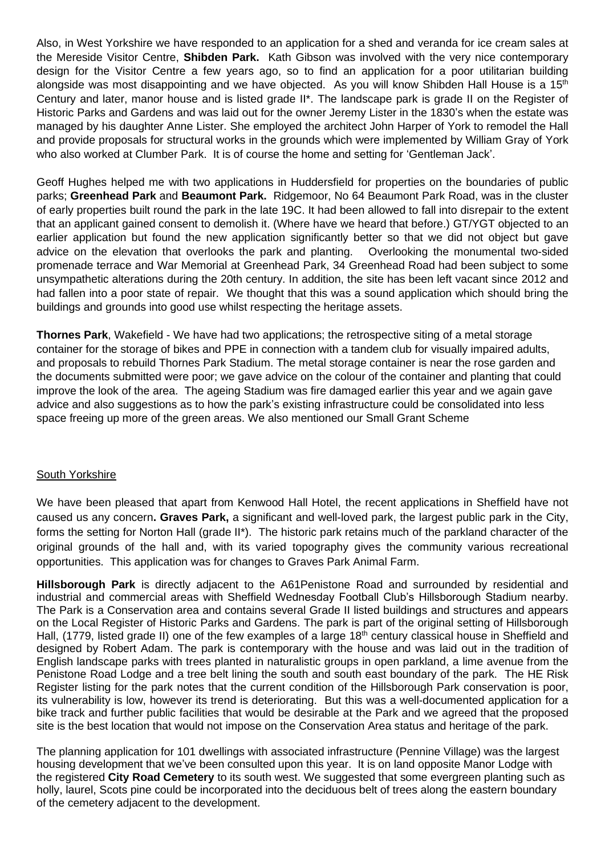Also, in West Yorkshire we have responded to an application for a shed and veranda for ice cream sales at the Mereside Visitor Centre, **Shibden Park.** Kath Gibson was involved with the very nice contemporary design for the Visitor Centre a few years ago, so to find an application for a poor utilitarian building alongside was most disappointing and we have objected. As you will know Shibden Hall House is a 15<sup>th</sup> Century and later, manor house and is listed grade II\*. The landscape park is grade II on the Register of Historic Parks and Gardens and was laid out for the owner Jeremy Lister in the 1830's when the estate was managed by his daughter Anne Lister. She employed the architect John Harper of York to remodel the Hall and provide proposals for structural works in the grounds which were implemented by William Gray of York who also worked at Clumber Park. It is of course the home and setting for 'Gentleman Jack'.

Geoff Hughes helped me with two applications in Huddersfield for properties on the boundaries of public parks; **Greenhead Park** and **Beaumont Park.** Ridgemoor, No 64 Beaumont Park Road, was in the cluster of early properties built round the park in the late 19C. It had been allowed to fall into disrepair to the extent that an applicant gained consent to demolish it. (Where have we heard that before.) GT/YGT objected to an earlier application but found the new application significantly better so that we did not object but gave advice on the elevation that overlooks the park and planting. Overlooking the monumental two-sided promenade terrace and War Memorial at Greenhead Park, 34 Greenhead Road had been subject to some unsympathetic alterations during the 20th century. In addition, the site has been left vacant since 2012 and had fallen into a poor state of repair. We thought that this was a sound application which should bring the buildings and grounds into good use whilst respecting the heritage assets.

**Thornes Park**, Wakefield - We have had two applications; the retrospective siting of a metal storage container for the storage of bikes and PPE in connection with a tandem club for visually impaired adults, and proposals to rebuild Thornes Park Stadium. The metal storage container is near the rose garden and the documents submitted were poor; we gave advice on the colour of the container and planting that could improve the look of the area. The ageing Stadium was fire damaged earlier this year and we again gave advice and also suggestions as to how the park's existing infrastructure could be consolidated into less space freeing up more of the green areas. We also mentioned our Small Grant Scheme

#### South Yorkshire

We have been pleased that apart from Kenwood Hall Hotel, the recent applications in Sheffield have not caused us any concern**. Graves Park,** a significant and well-loved park, the largest public park in the City, forms the setting for Norton Hall (grade II\*). The historic park retains much of the parkland character of the original grounds of the hall and, with its varied topography gives the community various recreational opportunities. This application was for changes to Graves Park Animal Farm.

**Hillsborough Park** is directly adjacent to the A61Penistone Road and surrounded by residential and industrial and commercial areas with Sheffield Wednesday Football Club's Hillsborough Stadium nearby. The Park is a Conservation area and contains several Grade II listed buildings and structures and appears on the Local Register of Historic Parks and Gardens. The park is part of the original setting of Hillsborough Hall, (1779, listed grade II) one of the few examples of a large 18<sup>th</sup> century classical house in Sheffield and designed by Robert Adam. The park is contemporary with the house and was laid out in the tradition of English landscape parks with trees planted in naturalistic groups in open parkland, a lime avenue from the Penistone Road Lodge and a tree belt lining the south and south east boundary of the park. The HE Risk Register listing for the park notes that the current condition of the Hillsborough Park conservation is poor, its vulnerability is low, however its trend is deteriorating. But this was a well-documented application for a bike track and further public facilities that would be desirable at the Park and we agreed that the proposed site is the best location that would not impose on the Conservation Area status and heritage of the park.

The planning application for 101 dwellings with associated infrastructure (Pennine Village) was the largest housing development that we've been consulted upon this year. It is on land opposite Manor Lodge with the registered **City Road Cemetery** to its south west. We suggested that some evergreen planting such as holly, laurel, Scots pine could be incorporated into the deciduous belt of trees along the eastern boundary of the cemetery adjacent to the development.